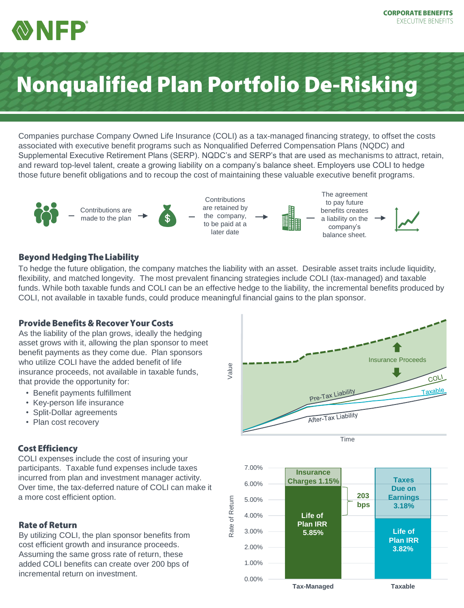

# **Nonqualified Plan Portfolio De-Risking**

Companies purchase Company Owned Life Insurance (COLI) as a tax-managed financing strategy, to offset the costs associated with executive benefit programs such as Nonqualified Deferred Compensation Plans (NQDC) and Supplemental Executive Retirement Plans (SERP). NQDC's and SERP's that are used as mechanisms to attract, retain, and reward top-level talent, create a growing liability on a company's balance sheet. Employers use COLI to hedge those future benefit obligations and to recoup the cost of maintaining these valuable executive benefit programs.



#### **Beyond Hedging The Liability**

To hedge the future obligation, the company matches the liability with an asset. Desirable asset traits include liquidity, flexibility, and matched longevity. The most prevalent financing strategies include COLI (tax-managed) and taxable funds. While both taxable funds and COLI can be an effective hedge to the liability, the incremental benefits produced by COLI, not available in taxable funds, could produce meaningful financial gains to the plan sponsor.

#### **Provide Benefits & Recover Your Costs**

As the liability of the plan grows, ideally the hedging asset grows with it, allowing the plan sponsor to meet benefit payments as they come due. Plan sponsors who utilize COLI have the added benefit of life insurance proceeds, not available in taxable funds, that provide the opportunity for:

- Benefit payments fulfillment
- Key-person life insurance
- Split-Dollar agreements
- Plan cost recovery

#### **Cost Efficiency**

COLI expenses include the cost of insuring your participants. Taxable fund expenses include taxes incurred from plan and investment manager activity. Over time, the tax-deferred nature of COLI can make it a more cost efficient option.

#### **Rate of Return**

By utilizing COLI, the plan sponsor benefits from cost efficient growth and insurance proceeds. Assuming the same gross rate of return, these added COLI benefits can create over 200 bps of incremental return on investment.